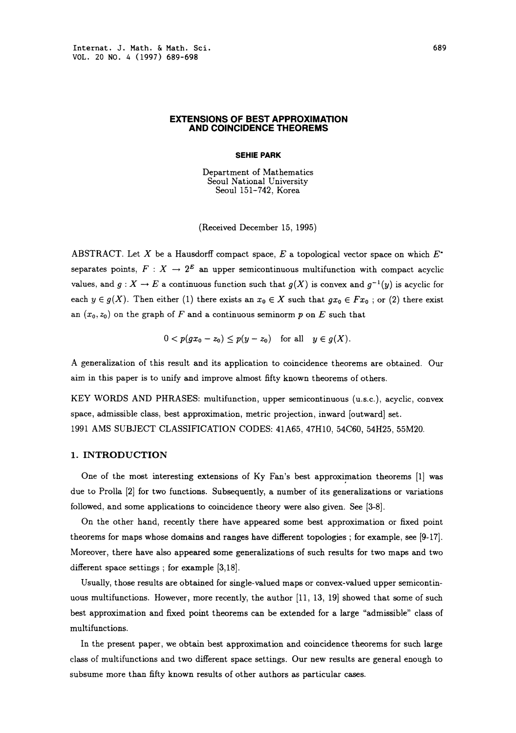#### EXTENSIONS OF BEST APPROXIMATION AND COINCIDENCE THEOREMS

#### SEHIE PARK

Department of Mathematics Seoul National University Seoul 151-742, Korea

(Received December 15, 1995)

ABSTRACT. Let  $X$  be a Hausdorff compact space,  $E$  a topological vector space on which  $E^*$ separates points,  $F: X \to 2^E$  an upper semicontinuous multifunction with compact acyclic values, and  $g: X \to E$  a continuous function such that  $g(X)$  is convex and  $g^{-1}(y)$  is acyclic for each  $y \in g(X)$ . Then either (1) there exists an  $x_0 \in X$  such that  $gx_0 \in Fx_0$ ; or (2) there exist an  $(x_0, z_0)$  on the graph of F and a continuous seminorm p on E such that

$$
0 < p(gx_0 - z_0) \leq p(y - z_0) \quad \text{for all} \quad y \in g(X).
$$

A generalization of this result and its application to coincidence theorems are obtained. Our aim in this paper is to unify and improve almost fifty known theorems of others.

KEY WORDS AND PHRASES: multifunction, upper semicontinuous (u.s.c.), acyclic, convex space, admissible class, best approximation, metric projection, inward [outward] set. <sup>1991</sup> AMS SUBJECT CLASSIFICATION CODES: 41A65, 47H10, 54C60, 54H25, 55M20.

## 1. INTRODUCTION

One of the most interesting extensions of Ky Fan's best approximation theorems [1] was due to Prolla [2] for two functions. Subsequently, a number of its generalizations or variations followed, and some applications to coincidence theory were also given. See [3-8].

On the other hand, recently there have appeared some best approximation or fixed point theorems for maps whose domains and ranges have different topologies; for example, see [9-17]. Moreover, there have also appeared some generalizations of such results for two maps and two different space settings ; for example  $[3,18]$ .

Usually, those results are obtained for single-valued maps or convex-valued upper semicontinuous multifunctions. However, more recently, the author [11, 13, 19] showed that some of such best approximation and fixed point theorems can be extended for a large "admissible" class of multifunctions.

In the present paper, we obtain best approximation and coincidence theorems for such large class of multifunctions and two different space settings. Our new results are general enough to subsume more than fifty known results of other authors as particular cases.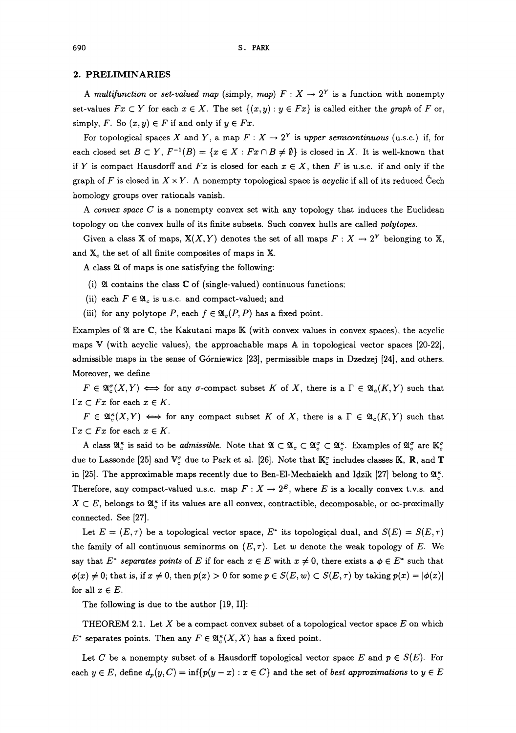### 2. PRELIMINARIES

A multifunction or set-valued map (simply, map)  $F: X \to 2^Y$  is a function with nonempty set-values  $Fx \subset Y$  for each  $x \in X$ . The set  $\{(x, y) : y \in Fx\}$  is called either the graph of F or, simply, F. So  $(x, y) \in F$  if and only if  $y \in Fx$ .

For topological spaces X and Y, a map  $F: X \to 2^Y$  is upper semicontinuous (u.s.c.) if, for each closed set  $B \subset Y$ ,  $F^{-1}(B) = \{x \in X : Fx \cap B \neq \emptyset\}$  is closed in X. It is well-known that if Y is compact Hausdorff and  $Fx$  is closed for each  $x \in X$ , then F is u.s.c. if and only if the graph of F is closed in  $X \times Y$ . A nonempty topological space is acyclic if all of its reduced Cech homology groups over rationals vanish.

A convex space  $C$  is a nonempty convex set with any topology that induces the Euclidean topology on the convex hulls of its finite subsets. Such convex hulls are called polytopes.

Given a class X of maps,  $X(X, Y)$  denotes the set of all maps  $F: X \to 2^Y$  belonging to X, and  $X_c$  the set of all finite composites of maps in X.

A class 24 of maps is one satisfying the following:

- (i) 24 contains the class  $\mathbb C$  of (single-valued) continuous functions;
- (ii) each  $F \in \mathfrak{A}_c$  is u.s.c. and compact-valued; and
- (iii) for any polytope P, each  $f \in \mathfrak{A}_{c}(P, P)$  has a fixed point.

Examples of  $\mathfrak A$  are  $\mathbb C$ , the Kakutani maps  $\mathbb K$  (with convex values in convex spaces), the acyclic maps V (with acyclic values), the approachable maps A in topological vector spaces [20-22], admissible maps in the sense of G6rniewicz [23], permissible maps in Dzedzej [24], and others. Moreover, we define

 $F \in \mathfrak{A}_{\sigma}^{\sigma}(X,Y) \iff$  for any  $\sigma$ -compact subset K of X, there is a  $\Gamma \in \mathfrak{A}_{\sigma}(K,Y)$  such that  $\Gamma x \subset Fx$  for each  $x \in K$ .

 $F \in \mathfrak{A}_{c}^{*}(X,Y) \iff$  for any compact subset K of X, there is a  $\Gamma \in \mathfrak{A}_{c}(K,Y)$  such that  $\Gamma x \subset Fx$  for each  $x \in K$ .

A class  $\mathfrak{A}_{\varepsilon}^*$  is said to be *admissible*. Note that  $\mathfrak{A} \subset \mathfrak{A}_{\varepsilon} \subset \mathfrak{A}_{\varepsilon}^* \subset \mathfrak{A}_{\varepsilon}^*$ . Examples of  $\mathfrak{A}_{\varepsilon}^{\sigma}$  are  $\mathbb{K}_{\varepsilon}^{\sigma}$ due to Lassonde [25] and  $\mathbb{V}_c^{\sigma}$  due to Park et al. [26]. Note that  $\mathbb{K}_c^{\sigma}$  includes classes K, R, and T in [25]. The approximable maps recently due to Ben-El-Mechaiekh and Idzik [27] belong to  $\mathfrak{A}^*$ . Therefore, any compact-valued u.s.c. map  $F: X \to 2^E$ , where E is a locally convex t.v.s. and  $X \subset E$ , belongs to  $\mathfrak{A}_{\varepsilon}^*$  if its values are all convex, contractible, decomposable, or  $\infty$ -proximally connected. See [27].

Let  $E = (E, \tau)$  be a topological vector space,  $E^*$  its topological dual, and  $S(E) = S(E, \tau)$ the family of all continuous seminorms on  $(E, \tau)$ . Let w denote the weak topology of E. We say that E<sup>\*</sup> separates points of E if for each  $x \in E$  with  $x \neq 0$ , there exists a  $\phi \in E^*$  such that  $\phi(x) \neq 0$ ; that is, if  $x \neq 0$ , then  $p(x) > 0$  for some  $p \in S(E, w) \subset S(E, \tau)$  by taking  $p(x) = |\phi(x)|$ for all  $x \in E$ .

The following is due to the author [19, II]:

THEOREM 2.1. Let X be a compact convex subset of a topological vector space E on which  $E^*$  separates points. Then any  $F \in \mathfrak{A}_{c}^{\kappa}(X,X)$  has a fixed point.

Let C be a nonempty subset of a Hausdorff topological vector space E and  $p \in S(E)$ . For each  $y \in E$ , define  $d_p(y, C) = \inf\{p(y-x) : x \in C\}$  and the set of best approximations to  $y \in E$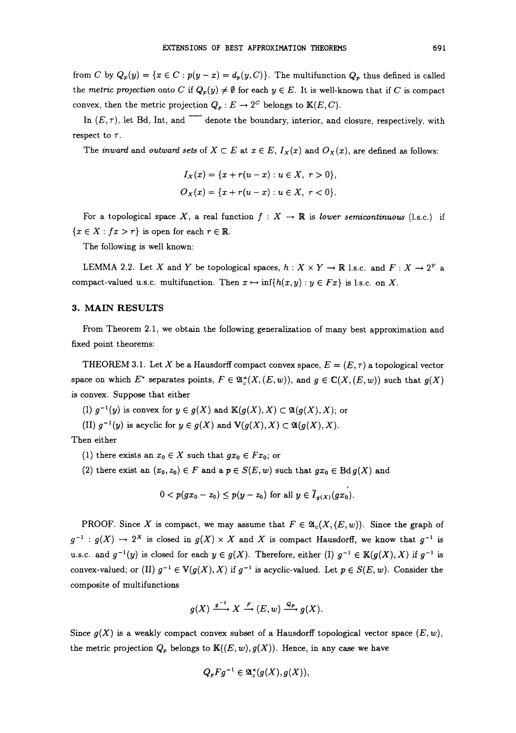from C by  $Q_p(y) = \{x \in C: p(y-x) = d_p(y, C)\}\.$  The multifunction  $Q_p$  thus defined is called the metric projection onto C if  $Q_p(y) \neq \emptyset$  for each  $y \in E$ . It is well-known that if C is compact convex, then the metric projection  $Q_p: E \to 2^C$  belongs to  $\mathbb{K}(E, C)$ .

In  $(E, \tau)$ , let Bd, Int, and denote the boundary, interior, and closure, respectively, with respect to  $\tau$ .

The *inward* and *outward sets* of  $X \subset E$  at  $x \in E$ ,  $I_X(x)$  and  $O_X(x)$ , are defined as follows:

$$
I_X(x) = \{x + r(u - x) : u \in X, r > 0\},\,
$$
  

$$
O_X(x) = \{x + r(u - x) : u \in X, r < 0\}.
$$

For a topological space X, a real function  $f : X \to \mathbb{R}$  is lower semicontinuous (1.s.c.) if  ${x \in X : fx > r}$  is open for each  $r \in \mathbb{R}$ .

The following is well known:

LEMMA 2.2. Let X and Y be topological spaces,  $h: X \times Y \to \mathbb{R}$  l.s.c. and  $F: X \to 2^Y$  a compact-valued u.s.c. multifunction. Then  $x \mapsto \inf\{h(x, y) : y \in Fx\}$  is 1.s.c. on X.

### 3. MAIN RESULTS

From Theorem 2.1, we obtain the following generalization of many best approximation and fixed point theorems:

THEOREM 3.1. Let X be a Hausdorff compact convex space,  $E = (E, \tau)$  a topological vector space on which E<sup>\*</sup> separates points,  $F \in \mathfrak{A}_{\alpha}^*(X,(E,w))$ , and  $g \in \mathbb{C}(X,(E,w))$  such that  $g(X)$ is convex. Suppose that either

- (I)  $g^{-1}(y)$  is convex for  $y \in g(X)$  and  $\mathbb{K}(g(X),X) \subset \mathfrak{A}(g(X),X)$ ; or
- (II)  $g^{-1}(y)$  is acyclic for  $y \in g(X)$  and  $\mathbb{V}(g(X), X) \subset \mathfrak{A}(g(X), X)$ .

Then either

- (1) there exists an  $x_0 \in X$  such that  $gx_0 \in Fx_0$ ; or
- (2) there exist an  $(x_0, z_0) \in F$  and a  $p \in S(E, w)$  such that  $gx_0 \in \text{Bd} g(X)$  and

$$
0 < p(gx_0 - x_0) \leq p(y - x_0)
$$
 for all  $y \in \overline{I}_{g(X)}(gx_0)$ .

PROOF. Since X is compact, we may assume that  $F \in \mathfrak{A}_{\mathfrak{c}}(X,(E,w))$ . Since the graph of  $g^{-1} : g(X) \to 2^X$  is closed in  $g(X) \times X$  and X is compact Hausdorff, we know that  $g^{-1}$  is u.s.c. and  $g^{-1}(y)$  is closed for each  $y \in g(X)$ . Therefore, either (I)  $g^{-1} \in K(g(X), X)$  if  $g^{-1}$  is convex-valued; or (II)  $g^{-1} \in V(g(X), X)$  if  $g^{-1}$  is acyclic-valued. Let  $p \in S(E, w)$ . Consider the composite of multifunctions

$$
g(X) \xrightarrow{g^{-1}} X \xrightarrow{F} (E,w) \xrightarrow{Q_p} g(X).
$$

Since  $g(X)$  is a weakly compact convex subset of a Hausdorff topological vector space  $(E, w)$ , the metric projection  $Q_p$  belongs to  $\mathbb{K}((E, w), g(X))$ . Hence, in any case we have

$$
Q_p F g^{-1} \in \mathfrak{A}^{\kappa}_c(g(X), g(X)),
$$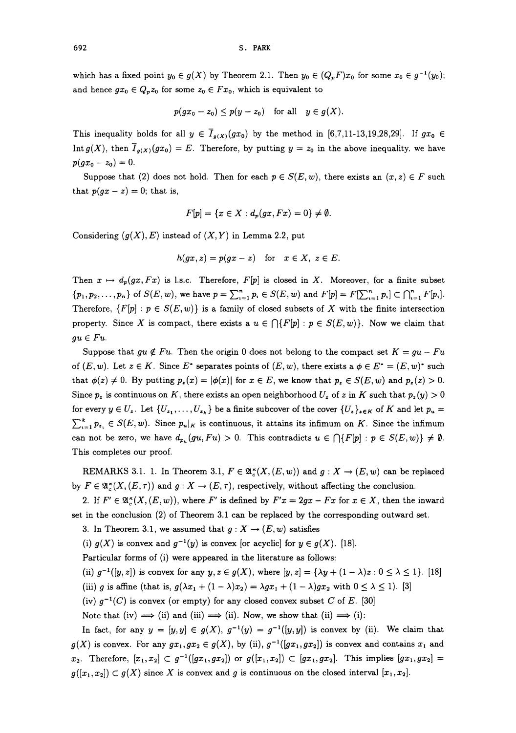which has a fixed point  $y_0 \in g(X)$  by Theorem 2.1. Then  $y_0 \in (Q_pF)x_0$  for some  $x_0 \in g^{-1}(y_0)$ ; and hence  $gx_0 \in Q_pz_0$  for some  $z_0 \in Fx_0$ , which is equivalent to

$$
p(gx_0-z_0)\leq p(y-z_0) \quad \text{for all} \quad y\in g(X).
$$

This inequality holds for all  $y \in \overline{I}_{g(X)}(gx_0)$  by the method in [6,7,11-13,19,28,29]. If  $gx_0 \in$ Int  $g(X)$ , then  $\overline{I}_{g(X)}(gx_0) = E$ . Therefore, by putting  $y = z_0$  in the above inequality, we have  $p(gx_0 - z_0) = 0.$ 

Suppose that (2) does not hold. Then for each  $p \in S(E, w)$ , there exists an  $(x, z) \in F$  such that  $p(gx-z) = 0$ ; that is,

$$
F[p] = \{x \in X : d_p(gx, Fx) = 0\} \neq \emptyset.
$$

Considering  $(g(X), E)$  instead of  $(X, Y)$  in Lemma 2.2, put

$$
h(gx, z) = p(gx - z) \text{ for } x \in X, z \in E.
$$

Then  $x \mapsto d_p(gx, Fx)$  is 1.s.c. Therefore, F[p] is closed in X. Moreover, for a finite subset  ${p_1, p_2, \ldots, p_n}$  of  $S(E, w)$ , we have  $p = \sum_{i=1}^n p_i \in S(E, w)$  and  $F[p] = F[\sum_{i=1}^n p_i] \subset \bigcap_{i=1}^n F[p_i].$ Therefore,  $\{F[p] : p \in S(E, w)\}$  is a family of closed subsets of X with the finite intersection property. Since X is compact, there exists a  $u \in \bigcap \{F[p] : p \in S(E,w)\}\.$  Now we claim that  $qu \in Fu$ .

Suppose that  $qu \notin Fu$ . Then the origin 0 does not belong to the compact set  $K = qu - Fu$ of  $(E, w)$ . Let  $z \in K$ . Since  $E^*$  separates points of  $(E, w)$ , there exists a  $\phi \in E^* = (E, w)^*$  such that  $\phi(z) \neq 0$ . By putting  $p_z(x) = |\phi(x)|$  for  $x \in E$ , we know that  $p_z \in S(E, w)$  and  $p_z(z) > 0$ . that  $\phi(z) \neq 0$ . By putting  $p_z(x) = |\phi(x)|$  for  $x \in E$ , we know that  $p_z \in S(E, w)$  and  $p_z(z) > 0$ .<br>Since  $p_z$  is continuous on K, there exists an open neighborhood  $U_z$  of z in K such that  $p_z(y) > 0$ <br>for every  $y \in U_z$ . Let  $\{U_{$ Since  $p_z$  is continuous on K, there exists an open neighborhood  $U_z$  of z in K such that  $p_z(y) > 0$  $\sum_{i=1}^{k} p_{z_i} \in S(E, w)$ . Since  $p_u|_K$  is continuous, it attains its infimum on K. Since the infimum can not be zero, we have  $d_{p_u}(gu, Fu) > 0$ . This contradicts  $u \in \bigcap \{F[p] : p \in S(E, w)\} \neq \emptyset$ . This completes our proof.

REMARKS 3.1. 1. In Theorem 3.1,  $F \in \mathfrak{A}_{\kappa}^{\kappa}(X, (E, w))$  and  $g: X \to (E, w)$  can be replaced by  $F \in \mathfrak{A}_{\alpha}^{\kappa}(X, (E, \tau))$  and  $g: X \to (E, \tau)$ , respectively, without affecting the conclusion.

2. If  $F' \in \mathfrak{A}_{\sim}^{\star}(X, (E, w))$ , where F' is defined by  $F'x = 2gx - Fx$  for  $x \in X$ , then the inward set in the conclusion (2) of Theorem 3.1 can be replaced by the corresponding outward set.

3. In Theorem 3.1, we assumed that  $g: X \to (E, w)$  satisfies

(i)  $g(X)$  is convex and  $g^{-1}(y)$  is convex [or acyclic] for  $y \in g(X)$ . [18].

Particular forms of (i) were appeared in the literature as follows:

(ii)  $g^{-1}([y,z])$  is convex for any  $y,z \in g(X)$ , where  $[y,z] = {\lambda y + (1 - \lambda)z : 0 \le \lambda \le 1}$ . [18]

(iii) g is affine (that is,  $g(\lambda x_1 + (1 - \lambda)x_2) = \lambda gx_1 + (1 - \lambda)gx_2$  with  $0 \le \lambda \le 1$ ). [3]

(iv)  $g^{-1}(C)$  is convex (or empty) for any closed convex subset C of E. [30]

Note that (iv)  $\implies$  (ii) and (iii)  $\implies$  (ii). Now, we show that (ii)  $\implies$  (i):

In fact, for any  $y = [y,y] \in g(X)$ ,  $g^{-1}(y) = g^{-1}([y,y])$  is convex by (ii). We claim that  $g(X)$  is convex. For any  $gx_1, gx_2 \in g(X)$ , by (ii),  $g^{-1}([gx_1, gx_2])$  is convex and contains  $x_1$  and  $x_2$ . Therefore,  $[x_1, x_2] \subset g^{-1}([gx_1, gx_2])$  or  $g([x_1, x_2]) \subset [gx_1, gx_2]$ . This implies  $[gx_1, gx_2] =$  $g([x_1,x_2]) \subset g(X)$  since X is convex and g is continuous on the closed interval  $[x_1,x_2]$ .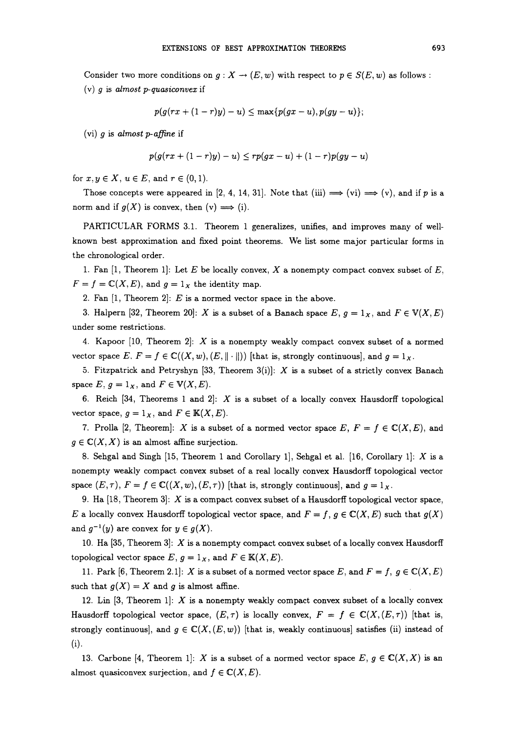Consider two more conditions on  $g: X \to (E, w)$  with respect to  $p \in S(E, w)$  as follows: (v)  $q$  is almost  $p$ -quasiconvex if

$$
p(g(rx+(1-r)y)-u)\leq \max\{p(gx-u),p(gy-u)\};
$$

(vi) g is almost p-affine if

$$
p(g(rx+(1-r)y)-u) \leq rp(gx-u)+(1-r)p(gy-u)
$$

for  $x, y \in X$ ,  $u \in E$ , and  $r \in (0, 1)$ .

Those concepts were appeared in [2, 4, 14, 31]. Note that (iii)  $\implies$  (vi)  $\implies$  (v), and if p is a norm and if  $g(X)$  is convex, then  $(v) \implies (i)$ .

PARTICULAR FORMS 3.1. Theorem 1 generalizes, unifies, and improves many of wellknown best approximation and fixed point theorems. We list some major particular forms in the chronological order.

1. Fan [1, Theorem 1]: Let  $E$  be locally convex,  $X$  a nonempty compact convex subset of  $E$ ,  $F = f = \mathbb{C}(X, E)$ , and  $g = 1_X$  the identity map.

2. Fan  $[1,$  Theorem 2]: E is a normed vector space in the above.

3. Halpern [32, Theorem 20]: X is a subset of a Banach space  $E, g = 1_X$ , and  $F \in V(X, E)$ under some restrictions.

4. Kapoor  $[10,$  Theorem 2: X is a nonempty weakly compact convex subset of a normed vector space  $E, F = f \in \mathbb{C}((X, w), (E, \|\cdot\|))$  [that is, strongly continuous], and  $g = 1_X$ .

5. Fitzpatrick and Petryshyn [33, Theorem 3(i)]:  $X$  is a subset of a strictly convex Banach space  $E, g = 1_X$ , and  $F \in V(X, E)$ .

6. Reich [34, Theorems 1 and 2]:  $X$  is a subset of a locally convex Hausdorff topological vector space,  $g = 1_X$ , and  $F \in K(X, E)$ .

7. Prolla [2, Theorem]: X is a subset of a normed vector space E,  $F = f \in \mathbb{C}(X, E)$ , and  $g \in \mathbb{C}(X, X)$  is an almost affine surjection.

8. Sehgal and Singh [15, Theorem 1 and Corollary 1], Sehgal et al. [16, Corollary 1]:  $X$  is a nonempty weakly compact convex subset of a real locally convex Hausdorff topological vector space  $(E, \tau)$ ,  $F = f \in \mathbb{C}((X, w), (E, \tau))$  [that is, strongly continuous], and  $g = 1_X$ .

9. Ha  $[18,$  Theorem 3]:  $X$  is a compact convex subset of a Hausdorff topological vector space, E a locally convex Hausdorff topological vector space, and  $F = f, g \in \mathbb{C}(X, E)$  such that  $g(X)$ and  $g^{-1}(y)$  are convex for  $y \in g(X)$ .

10. Ha  $[35,$  Theorem  $3]$ : X is a nonempty compact convex subset of a locally convex Hausdorff topological vector space  $E, g = 1_X$ , and  $F \in K(X, E)$ .

11. Park [6, Theorem 2.1]: X is a subset of a normed vector space E, and  $F = f$ ,  $g \in \mathbb{C}(X, E)$ such that  $g(X) = X$  and g is almost affine.

12. Lin  $[3,$  Theorem 1]:  $X$  is a nonempty weakly compact convex subset of a locally convex Hausdorff topological vector space,  $(E, \tau)$  is locally convex,  $F = f \in \mathbb{C}(X, (E, \tau))$  [that is, strongly continuous], and  $g \in \mathbb{C}(X, (E, w))$  [that is, weakly continuous] satisfies (ii) instead of (i).

13. Carbone [4, Theorem 1]: X is a subset of a normed vector space  $E, g \in \mathbb{C}(X,X)$  is an almost quasiconvex surjection, and  $f \in \mathbb{C}(X, E)$ .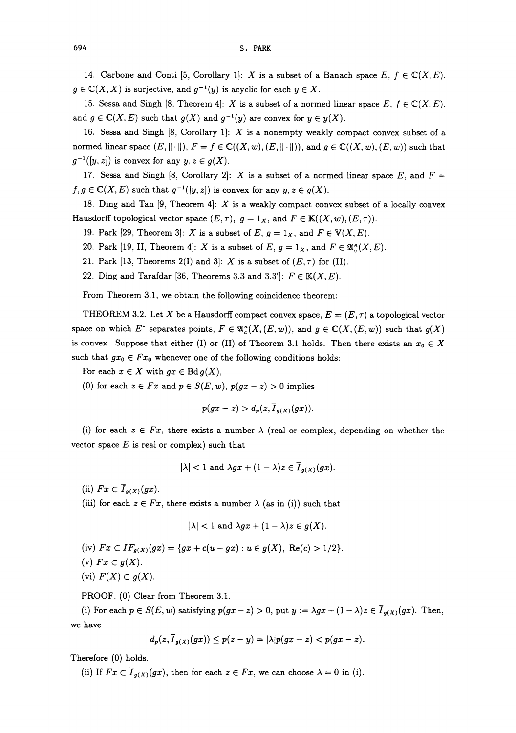694 S. PARK

14. Carbone and Conti [5, Corollary 1]: X is a subset of a Banach space  $E, f \in \mathbb{C}(X,E)$ .  $g \in \mathbb{C}(X,X)$  is surjective, and  $g^{-1}(y)$  is acyclic for each  $y \in X$ .

15. Sessa and Singh [8, Theorem 4]: X is a subset of a normed linear space  $E, f \in \mathbb{C}(X,E)$ . and  $g \in \mathbb{C}(X, E)$  such that  $g(X)$  and  $g^{-1}(y)$  are convex for  $y \in y(X)$ .

16. Sessa and Singh  $[8,$  Corollary 1]:  $X$  is a nonempty weakly compact convex subset of a normed linear space  $(E, \|\cdot\|), F = f \in \mathbb{C}((X, w), (E, \|\cdot\|)),$  and  $g \in \mathbb{C}((X, w), (E, w))$  such that  $g^{-1}([y, z])$  is convex for any  $y, z \in g(X)$ .

17. Sessa and Singh [8, Corollary 2]: X is a subset of a normed linear space E, and  $F =$  $f,g \in \mathbb{C}(X, E)$  such that  $g^{-1}([y,z])$  is convex for any  $y, z \in g(X)$ .

18. Ding and Tan  $[9,$  Theorem 4]:  $X$  is a weakly compact convex subset of a locally convex Hausdorff topological vector space  $(E, \tau)$ ,  $g = 1_X$ , and  $F \in K((X, w), (E, \tau))$ .

19. Park [29, Theorem 3]: X is a subset of E,  $g = 1_X$ , and  $F \in V(X, E)$ .

20. Park [19, II, Theorem 4]: X is a subset of E,  $g = 1_X$ , and  $F \in \mathfrak{A}_{\varepsilon}^{\kappa}(X,E)$ .

- 21. Park [13, Theorems 2(I) and 3]: X is a subset of  $(E, \tau)$  for (II).
- 22. Ding and Tarafdar [36, Theorems 3.3 and 3.3']:  $F \in K(X, E)$ .

From Theorem 3.1, we obtain the following coincidence theorem:

THEOREM 3.2. Let X be a Hausdorff compact convex space,  $E = (E, \tau)$  a topological vector space on which E<sup>\*</sup> separates points,  $F \in \mathfrak{A}_{\epsilon}^*(X, (E, w))$ , and  $g \in \mathbb{C}(X, (E, w))$  such that  $g(X)$ is convex. Suppose that either (I) or (II) of Theorem 3.1 holds. Then there exists an  $x_0 \in X$ such that  $gx_0 \in Fx_0$  whenever one of the following conditions holds:

For each  $x \in X$  with  $gx \in \text{Bd } g(X)$ ,

(0) for each  $z \in Fx$  and  $p \in S(E, w)$ ,  $p(gx - z) > 0$  implies

$$
p(gx-z) > d_p(z, \overline{I}_{g(X)}(gx)).
$$

(i) for each  $z \in Fx$ , there exists a number  $\lambda$  (real or complex, depending on whether the vector space  $E$  is real or complex) such that

$$
|\lambda| < 1 \text{ and } \lambda gx + (1 - \lambda)z \in \overline{I}_{g(X)}(gx).
$$

(ii)  $Fx \subset \overline{I}_{g(X)}(gx)$ .

(iii) for each  $z \in Fx$ , there exists a number  $\lambda$  (as in (i)) such that

$$
|\lambda| < 1 \text{ and } \lambda gx + (1 - \lambda)z \in g(X).
$$

(iv)  $Fx \subset IF_{g(X)}(gx) = \{gx + c(u - gx) : u \in g(X), \text{ Re}(c) > 1/2\}.$ 

(v) 
$$
Fx\subset g(X)
$$
.

(vi)  $F(X) \subset g(X)$ .

PROOF. (0) Clear from Theorem 3.1.

(i) For each  $p \in S(E, w)$  satisfying  $p(gx-z) > 0$ , put  $y := \lambda gx + (1 - \lambda)z \in \overline{I}_{g(X)}(gx)$ . Then, we have

$$
d_p(z,\overline{I}_{g(X)}(gx)) \leq p(z-y) = |\lambda|p(gx-z) < p(gx-z).
$$

Therefore (0) holds.

(ii) If  $Fx \subset \overline{I}_{g(X)}(gx)$ , then for each  $z \in Fx$ , we can choose  $\lambda = 0$  in (i).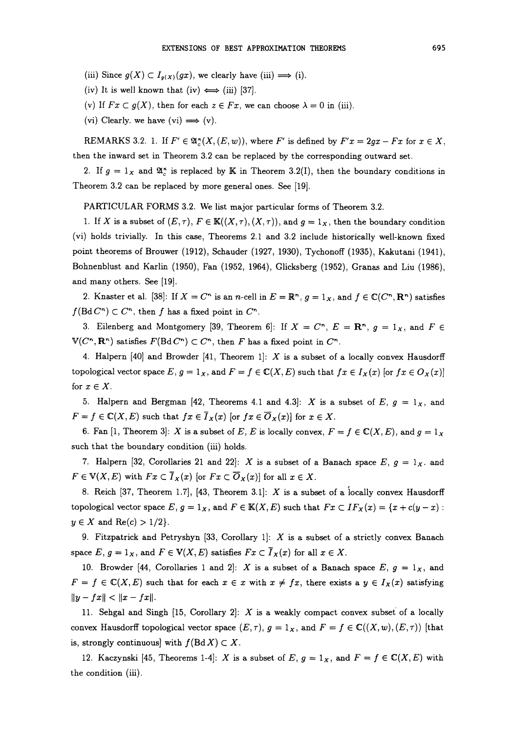(iii) Since  $g(X) \subset I_{g(X)}(gx)$ , we clearly have (iii)  $\Longrightarrow$  (i).

(iv) It is well known that (iv)  $\Longleftrightarrow$  (iii) [37].

(v) If  $Fx \subset g(X)$ , then for each  $z \in Fx$ , we can choose  $\lambda = 0$  in (iii).

(vi) Clearly. we have (vi)  $\Longrightarrow$  (v).

REMARKS 3.2. 1. If  $F' \in \mathfrak{A}_{c}^{\star}(X, (E, w))$ , where F' is defined by  $F'x = 2gx - Fx$  for  $x \in X$ , then the inward set in Theorem 3.2 can be replaced by the corresponding outward set.

2. If  $g = 1_X$  and  $\mathfrak{A}^*$  is replaced by K in Theorem 3.2(I), then the boundary conditions in Theorem 3.2 can be replaced by more general ones. See [19].

PARTICULAR FORMS 3.2. We list major particular forms of Theorem 3.2.

1. If X is a subset of  $(E, \tau)$ ,  $F \in K((X, \tau), (X, \tau))$ , and  $g = 1_X$ , then the boundary condition (vi) holds trivially. In this case, Theorems 2.1 and 3.2 include historically well-known fixed point theorems of Brouwer (1912), Schauder (1927, 1930), Tychonoff (1935), Kakutani (1941), Sohnenblust and Karlin (1950), Fan (1952, 1964), Glicksberg (1952), Granas and Liu (1986), and many others. See [19].

2. Knaster et al. [38]: If  $X = C^n$  is an n-cell in  $E = \mathbb{R}^n$ ,  $g = 1_X$ , and  $f \in \mathbb{C}(C^n, \mathbb{R}^n)$  satisfies  $f(\text{Bd} C^n) \subset C^n$ , then f has a fixed point in  $C^n$ .

3. Eilenberg and Montgomery [39, Theorem 6]: If  $X = C<sup>n</sup>$ ,  $E = \mathbb{R}<sup>n</sup>$ ,  $g = 1_X$ , and  $F \in$  $V(C<sup>n</sup>, \mathbf{R}^n)$  satisfies  $F(\text{Bd } C^n) \subset C^n$ , then F has a fixed point in  $C^n$ .

4. Halpern  $[40]$  and Browder  $[41,$  Theorem 1]: X is a subset of a locally convex Hausdorff topological vector space E,  $g = 1_X$ , and  $F = f \in \mathbb{C}(X, E)$  such that  $fx \in I_X(x)$  [or  $fx \in O_X(x)$ ] for  $x \in X$ .

5. Halpern and Bergman [42, Theorems 4.1 and 4.3]: X is a subset of E,  $g = 1_X$ , and  $F = f \in \mathbb{C}(X, E)$  such that  $fx \in \overline{I}_X(x)$  [or  $fx \in \overline{O}_X(x)$ ] for  $x \in X$ .

6. Fan [1, Theorem 3]: X is a subset of E, E is locally convex,  $F = f \in \mathbb{C}(X, E)$ , and  $g = 1_X$ such that the boundary condition (iii) holds.

7. Halpern [32, Corollaries 21 and 22]: X is a subset of a Banach space  $E, g = 1_X$ . and  $F \in V(X, E)$  with  $Fx \subset \overline{I}_X(x)$  [or  $Fx \subset \overline{O}_X(x)$ ] for all  $x \in X$ .

8. Reich [37, Theorem 1.7], [43, Theorem 3.1]: X is a subset of a locally convex Hausdorff topological vector space  $E, g = 1_X$ , and  $F \in K(X, E)$  such that  $Fx \subset IF_X(x) = \{x + c(y - x) : x \in K(X, E) \}$  $y \in X$  and  $\text{Re}(c) > 1/2$ .

9. Fitzpatrick and Petryshyn [33, Corollary 1]:  $X$  is a subset of a strictly convex Banach space  $E, g = 1_X$ , and  $F \in V(X, E)$  satisfies  $Fx \subset \overline{I}_X(x)$  for all  $x \in X$ .

10. Browder [44, Corollaries 1 and 2]: X is a subset of a Banach space E,  $g = 1_X$ , and  $F = f \in \mathbb{C}(X,E)$  such that for each  $x \in x$  with  $x \neq fx$ , there exists a  $y \in I_x(x)$  satisfying  $||y - fx|| < ||x - fx||.$ 

11. Sehgal and Singh  $[15, Corollary 2]$ : X is a weakly compact convex subset of a locally convex Hausdorff topological vector space  $(E, \tau)$ ,  $g = 1_X$ , and  $F = f \in \mathbb{C}((X, w), (E, \tau))$  [that is, strongly continuous] with  $f(Bd X) \subset X$ .

12. Kaczynski [45, Theorems 1-4]: X is a subset of E,  $g = 1_X$ , and  $F = f \in \mathbb{C}(X, E)$  with the condition (iii).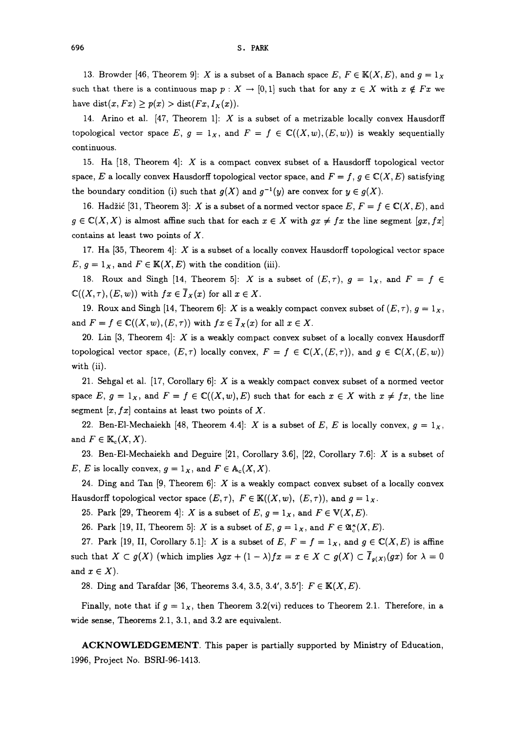13. Browder [46, Theorem 9]: X is a subset of a Banach space E,  $F \in K(X, E)$ , and  $g = 1_X$ such that there is a continuous map  $p : X \to [0, 1]$  such that for any  $x \in X$  with  $x \notin Fx$  we have dist $(x, Fx) \ge p(x) > \text{dist}(Fx, I_x(x)).$ 

14. Arino et al.  $[47,$  Theorem 1]: X is a subset of a metrizable locally convex Hausdorff topological vector space E,  $g = 1_X$ , and  $F = f \in \mathbb{C}((X, w), (E, w))$  is weakly sequentially continuous.

15. Ha [18, Theorem 4]: X is <sup>a</sup> compact convex subset of <sup>a</sup> Hausdorff topological vector space, E a locally convex Hausdorff topological vector space, and  $F = f$ ,  $g \in \mathbb{C}(X, E)$  satisfying the boundary condition (i) such that  $g(X)$  and  $g^{-1}(y)$  are convex for  $y \in g(X)$ .

16. Hadžić [31, Theorem 3]: X is a subset of a normed vector space  $E, F = f \in \mathbb{C}(X, E)$ , and  $g \in \mathbb{C}(X,X)$  is almost affine such that for each  $x \in X$  with  $gx \neq fx$  the line segment  $[gx, fx]$ contains at least two points of  $X$ .

17. Ha  $[35,$  Theorem 4: X is a subset of a locally convex Hausdorff topological vector space  $E, g = 1_X$ , and  $F \in K(X, E)$  with the condition (iii).

18. Roux and Singh [14, Theorem 5]: X is a subset of  $(E, \tau)$ ,  $g = 1_X$ , and  $F = f \in$  $\mathbb{C}((X,\tau), (E, w))$  with  $fx \in \overline{I}_X(x)$  for all  $x \in X$ .

19. Roux and Singh [14, Theorem 6]: X is a weakly compact convex subset of  $(E, \tau)$ ,  $g = 1_X$ , and  $F = f \in \mathbb{C}((X, w), (E, \tau))$  with  $fx \in \overline{I}_X(x)$  for all  $x \in X$ .

20. Lin [3, Theorem 4]: X is a weakly compact convex subset of a locally convex Hausdorff topological vector space,  $(E,\tau)$  locally convex,  $F = f \in \mathbb{C}(X,(E,\tau))$ , and  $g \in \mathbb{C}(X,(E,w))$ with (ii).

21. Sehgal et al. [17, Corollary 6]:  $X$  is a weakly compact convex subset of a normed vector space E,  $g = 1_X$ , and  $F = f \in \mathbb{C}((X,w),E)$  such that for each  $x \in X$  with  $x \neq fx$ , the line segment  $[x, fx]$  contains at least two points of X.

22. Ben-El-Mechaiekh [48, Theorem 4.4]: X is a subset of E, E is locally convex,  $g = 1_X$ , and  $F \in \mathbb{K}_c(X, X)$ .

23. Ben-EI-Mechaiekh and Deguire [21, Corollary 3.6], [22, Corollary 7.6]: X is <sup>a</sup> subset of E, E is locally convex,  $g = 1_X$ , and  $F \in A_c(X,X)$ .

24. Ding and Tan  $[9,$  Theorem 6]: X is a weakly compact convex subset of a locally convex Hausdorff topological vector space  $(E, \tau)$ ,  $F \in K((X, w), (E, \tau))$ , and  $g = 1_X$ .

25. Park [29, Theorem 4]: X is a subset of E,  $g = 1_X$ , and  $F \in V(X, E)$ .

26. Park [19, II, Theorem 5]: X is a subset of E,  $g = 1_X$ , and  $F \in \mathfrak{A}_{c}^{\kappa}(X,E)$ .

27. Park [19, II, Corollary 5.1]: X is a subset of E,  $F = f = 1_X$ , and  $g \in \mathbb{C}(X, E)$  is affine such that  $X \subset g(X)$  (which implies  $\lambda gx + (1 - \lambda)fx = x \in X \subset g(X) \subset \overline{I}_{g(X)}(gx)$  for  $\lambda = 0$ and  $x \in X$ ).

28. Ding and Tarafdar [36, Theorems 3.4, 3.5, 3.4', 3.5']:  $F \in K(X, E)$ .

Finally, note that if  $g = 1<sub>x</sub>$ , then Theorem 3.2(vi) reduces to Theorem 2.1. Therefore, in a wide sense, Theorems 2.1, 3.1, and 3.2 are equivalent.

ACKNOWLEDGEMENT. This paper is partially supported by Ministry of Education, 1996, Project No. BSRI-96-1413.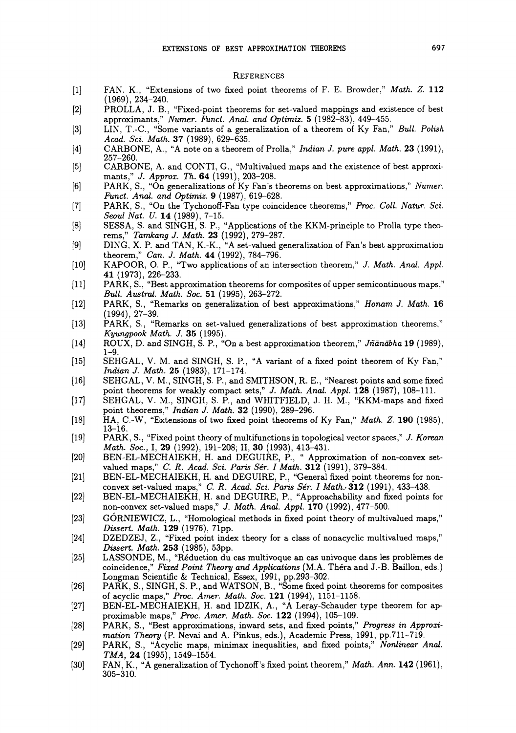#### **REFERENCES**

- $[1]$ FAN. K., "Extensions of two fixed point theorems of F. E. Browder," Math. Z. 112 (1969), 234-240.
- PROLLA, J. B., "Fixed-point theorems for set-valued mappings and existence of best  $\lceil 2 \rceil$ approximants," Numer. Funct. Anal. and Optimiz. 5 (1982-83), 449-455.
- [3] LIN, T.-C., "Some variants of a generalization of a theorem of Ky Fan," Bull. Polish Acad. Sci. Math. 37 (1989), 629-635.
- [4] CARBONE, A., "A note on <sup>a</sup> theorem of Prolla," Indian J. pure appl. Math. 23 (1991), 257-260.
- $[5]$ CARBONE, A. and CONTI, G., "Multivalued maps and the existence of best approximants," J. Approx. Th. 64 (1991), 203-208.
- $[6]$ PARK, S., "On generalizations of Ky Fan's theorems on best approximations," Numer. Funct. Anal. and Optimiz. 9 (1987), 619-628.
- $[7]$ PARK, S., "On the Tychonoff-Fan type coincidence theorems," Proc. Coll. Natur. Sci. Seoul Nat. U. 14 (1989), 7-15.
- SESSA, S. and SINGH, S. P., "Applications of the KKM-principle to Prolla type theo- $[8]$ rems," Tamkang J. Math. 23 (1992), 279-287.
- [9] DING, X. P. and TAN, K.-K., "A set-valued generalization of Fan's best approximation theorem," Can. J. Math. 44 (1992), 784-796.
- $[10]$ KAPOOR, O. P., "Two applications of an intersection theorem," J. Math. Anal. Appl. 41 (1973), 226-233.
- [11] PARK, S., "Best approximation theorems for composites of upper semicontinuous maps," Bull. Austral. Math. Soc. 51 (1995), 263-272.
- $[12]$ PARK, S., "Remarks on generalization of best approximations," Honam J. Math. 16 (1994), 27-39. PARK, S., "Remarks on set-valued generalizations of best approximation theorems,"
- $[13]$ Kyungpook Math. J. 35 (1995).
- ROUX, D. and SINGH, S. P., "On a best approximation theorem," Jñānābha 19 (1989),  $[14]$  $1 - 9$ .
- SEHGAL, V. M. and SINGH, S. P., "A variant of a fixed point theorem of Ky Fan,"  $\left[15\right]$ Indian J. Math. 25 (1983), 171-174.
- $[16]$ SEHGAL, V. M., SINGH, S. P., and SMITHSON, R. E., "Nearest points and some fixed point theorems for weakly compact sets," J. Math. Anal. Appl. 128 (1987), 108-111.
- $[17]$ SEHGAL, V. M., SINGH, S. P., and WHITFIELD, 3. H. M., "KKM-maps and fixed point theorems," *Indian J. Math.* **32** (1990), 289-296.
- HA, C.-W, "Extensions of two fixed point theorems of Ky Fan," Math. Z. 190 (1985),  $[18]$  $13 - 16$ .
- $[19]$ PARK, S., "Fixed point theory of multifunctions in topological vector spaces," J. Korean Math. Soc., I, 29 (1992), 191-208; II, 30 (1993), 413-431.
- $[20]$ BEN-EL-MECHAIEKH, H. and DEGUIRE, P., "Approximation of non-convex setvalued maps," C. R. Acad. Sci. Paris Sér. I Math.  $312$  (1991), 379-384.
- $[21]$ BEN-EL-MECHAIEKH, H. and DEGUIRE, P., "General fixed point theorems for nonconvex set-valued maps," C. R. Acad. Sci. Paris Sér. I Math. 312 (1991), 433-438.
- BEN-EL-MECHAIEKH, H. and DEGUIRE, P., "Approachability and fixed points for  $[22]$ non-convex set-valued maps," J. Math. Anal. Appl. 170 (1992), 477-500.
- [3] GORNIEWICZ, L., "Homological methods in fixed point theory of multivalued maps," Dissert. Math. 129 (1976), 71pp.
- $[24]$ DZEDZEJ, Z., "Fixed point index theory for a class of nonacyclic multivalued maps," Dissert. Math. 253 (1985), 53pp.
- $[25]$ LASSONDE, M., "Réduction du cas multivoque an cas univoque dans les problèmes de coincidence," Fixed Point Theory and Applications (M.A. Théra and J.-B. Baillon, eds.) Longman Scientific & Technical, Essex, 1991, pp.293-302.
- [26] PARK, S., SINGH, S. P., and WATSON, B., "Some fixed point theorems for composites of acyclic maps," Proc. Amer. Math. Soc. 121 (1994), 1151-1158.
- [27] BEN-EL-MECHAIEKH, H. and IDZIK, A., "A Leray-Schauder type theorem for approximable maps," Proc. Amer. Math. Soc. 122 (1994), 105-109.
- $[28]$ PARK, S., "Best approximations, inward sets, and fixed points," Progress in Approximation Theory (P. Nevai and A. Pinkus, eds.), Academic Press, 1991, pp.711-719.
- PARK, S., "Acyclic maps, minimax inequalities, and fixed points," Nonlinear Anal.  $[29]$ TMA, 24 (1995), 1549-1554.
- [30] FAN, K., "A generalization of Tychonoff's fixed point theorem," Math. Ann. 142 (1961), 305-310.